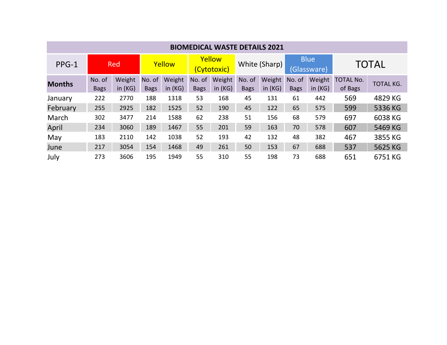| <b>BIOMEDICAL WASTE DETAILS 2021</b> |                       |                     |                       |                     |                       |                     |                       |                     |                            |                     |                             |                  |
|--------------------------------------|-----------------------|---------------------|-----------------------|---------------------|-----------------------|---------------------|-----------------------|---------------------|----------------------------|---------------------|-----------------------------|------------------|
| PPG-1                                | Red                   |                     | Yellow                |                     | Yellow<br>(Cytotoxic) |                     | White (Sharp)         |                     | <b>Blue</b><br>(Glassware) |                     | <b>TOTAL</b>                |                  |
| <b>Months</b>                        | No. of<br><b>Bags</b> | Weight<br>in $(KG)$ | No. of<br><b>Bags</b> | Weight<br>in $(KG)$ | No. of<br><b>Bags</b> | Weight<br>in $(KG)$ | No. of<br><b>Bags</b> | Weight<br>in $(KG)$ | No. of<br><b>Bags</b>      | Weight<br>in $(KG)$ | <b>TOTAL No.</b><br>of Bags | <b>TOTAL KG.</b> |
| January                              | 222                   | 2770                | 188                   | 1318                | 53                    | 168                 | 45                    | 131                 | 61                         | 442                 | 569                         | 4829 KG          |
| February                             | 255                   | 2925                | 182                   | 1525                | 52                    | 190                 | 45                    | 122                 | 65                         | 575                 | 599                         | 5336 KG          |
| March                                | 302                   | 3477                | 214                   | 1588                | 62                    | 238                 | 51                    | 156                 | 68                         | 579                 | 697                         | 6038 KG          |
| April                                | 234                   | 3060                | 189                   | 1467                | 55                    | 201                 | 59                    | 163                 | 70                         | 578                 | 607                         | 5469 KG          |
| May                                  | 183                   | 2110                | 142                   | 1038                | 52                    | 193                 | 42                    | 132                 | 48                         | 382                 | 467                         | 3855 KG          |
| June                                 | 217                   | 3054                | 154                   | 1468                | 49                    | 261                 | 50                    | 153                 | 67                         | 688                 | 537                         | 5625 KG          |
| July                                 | 273                   | 3606                | 195                   | 1949                | 55                    | 310                 | 55                    | 198                 | 73                         | 688                 | 651                         | 6751 KG          |